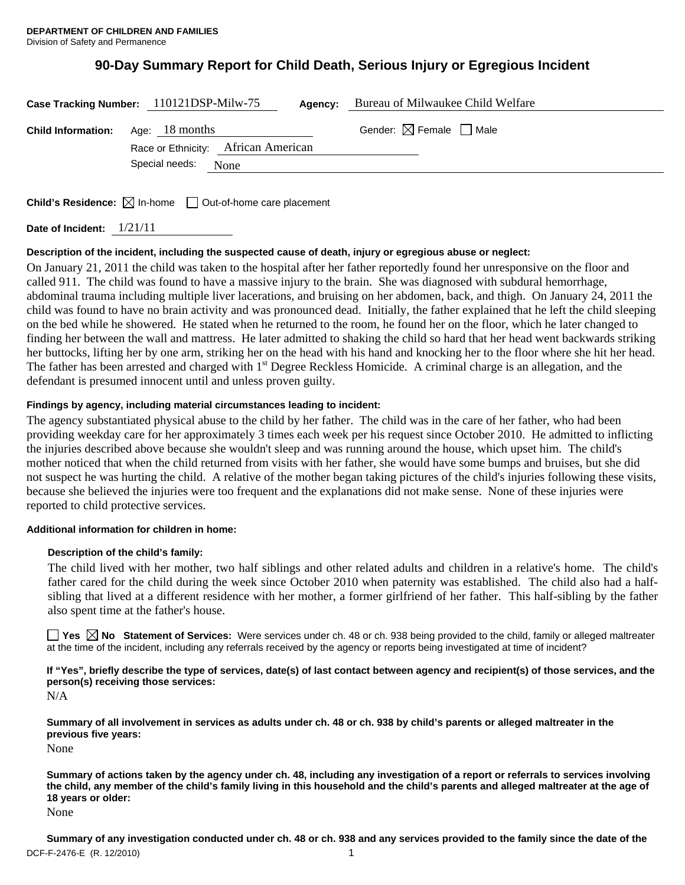# **90-Day Summary Report for Child Death, Serious Injury or Egregious Incident**

|                                          | Case Tracking Number: 110121DSP-Milw-75<br>Agency:         | Bureau of Milwaukee Child Welfare      |
|------------------------------------------|------------------------------------------------------------|----------------------------------------|
| <b>Child Information:</b> Age: 18 months |                                                            | Gender: $\boxtimes$ Female $\Box$ Male |
|                                          | Race or Ethnicity: African American<br>Special needs: None |                                        |
|                                          |                                                            |                                        |

**Child's Residence:**  $\boxtimes$  In-home  $\Box$  Out-of-home care placement

**Date of Incident:** 1/21/11

# **Description of the incident, including the suspected cause of death, injury or egregious abuse or neglect:**

On January 21, 2011 the child was taken to the hospital after her father reportedly found her unresponsive on the floor and called 911. The child was found to have a massive injury to the brain. She was diagnosed with subdural hemorrhage, abdominal trauma including multiple liver lacerations, and bruising on her abdomen, back, and thigh. On January 24, 2011 the child was found to have no brain activity and was pronounced dead. Initially, the father explained that he left the child sleeping on the bed while he showered. He stated when he returned to the room, he found her on the floor, which he later changed to finding her between the wall and mattress. He later admitted to shaking the child so hard that her head went backwards striking her buttocks, lifting her by one arm, striking her on the head with his hand and knocking her to the floor where she hit her head. The father has been arrested and charged with  $1<sup>st</sup>$  Degree Reckless Homicide. A criminal charge is an allegation, and the defendant is presumed innocent until and unless proven guilty.

# **Findings by agency, including material circumstances leading to incident:**

The agency substantiated physical abuse to the child by her father. The child was in the care of her father, who had been providing weekday care for her approximately 3 times each week per his request since October 2010. He admitted to inflicting the injuries described above because she wouldn't sleep and was running around the house, which upset him. The child's mother noticed that when the child returned from visits with her father, she would have some bumps and bruises, but she did not suspect he was hurting the child. A relative of the mother began taking pictures of the child's injuries following these visits, because she believed the injuries were too frequent and the explanations did not make sense. None of these injuries were reported to child protective services.

# **Additional information for children in home:**

# **Description of the child's family:**

 The child lived with her mother, two half siblings and other related adults and children in a relative's home. The child's father cared for the child during the week since October 2010 when paternity was established. The child also had a halfsibling that lived at a different residence with her mother, a former girlfriend of her father. This half-sibling by the father also spent time at the father's house.

**Yes No Statement of Services:** Were services under ch. 48 or ch. 938 being provided to the child, family or alleged maltreater at the time of the incident, including any referrals received by the agency or reports being investigated at time of incident?

**If "Yes", briefly describe the type of services, date(s) of last contact between agency and recipient(s) of those services, and the person(s) receiving those services:** 

N/A

**Summary of all involvement in services as adults under ch. 48 or ch. 938 by child's parents or alleged maltreater in the previous five years:** 

None

**Summary of actions taken by the agency under ch. 48, including any investigation of a report or referrals to services involving the child, any member of the child's family living in this household and the child's parents and alleged maltreater at the age of 18 years or older:** 

None

DCF-F-2476-E (R. 12/2010) 1 **Summary of any investigation conducted under ch. 48 or ch. 938 and any services provided to the family since the date of the**